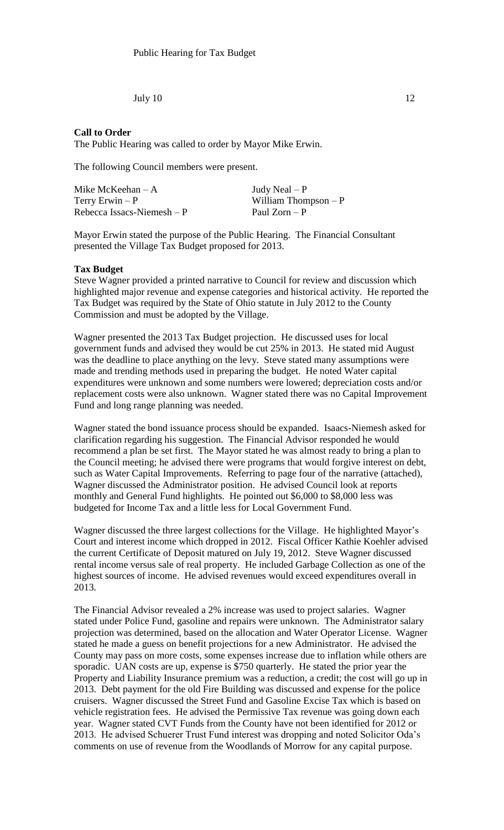July 10 12

## **Call to Order**

The Public Hearing was called to order by Mayor Mike Erwin.

The following Council members were present.

| Mike McKeehan $-A$          | Judy Neal $- P$       |
|-----------------------------|-----------------------|
| Terry Erwin $-P$            | William Thompson $-P$ |
| Rebecca Issacs-Niemesh $-P$ | Paul Zorn – P         |

Mayor Erwin stated the purpose of the Public Hearing. The Financial Consultant presented the Village Tax Budget proposed for 2013.

## **Tax Budget**

Steve Wagner provided a printed narrative to Council for review and discussion which highlighted major revenue and expense categories and historical activity. He reported the Tax Budget was required by the State of Ohio statute in July 2012 to the County Commission and must be adopted by the Village.

Wagner presented the 2013 Tax Budget projection. He discussed uses for local government funds and advised they would be cut 25% in 2013. He stated mid August was the deadline to place anything on the levy. Steve stated many assumptions were made and trending methods used in preparing the budget. He noted Water capital expenditures were unknown and some numbers were lowered; depreciation costs and/or replacement costs were also unknown. Wagner stated there was no Capital Improvement Fund and long range planning was needed.

Wagner stated the bond issuance process should be expanded. Isaacs-Niemesh asked for clarification regarding his suggestion. The Financial Advisor responded he would recommend a plan be set first. The Mayor stated he was almost ready to bring a plan to the Council meeting; he advised there were programs that would forgive interest on debt, such as Water Capital Improvements. Referring to page four of the narrative (attached), Wagner discussed the Administrator position. He advised Council look at reports monthly and General Fund highlights. He pointed out \$6,000 to \$8,000 less was budgeted for Income Tax and a little less for Local Government Fund.

Wagner discussed the three largest collections for the Village. He highlighted Mayor's Court and interest income which dropped in 2012. Fiscal Officer Kathie Koehler advised the current Certificate of Deposit matured on July 19, 2012. Steve Wagner discussed rental income versus sale of real property. He included Garbage Collection as one of the highest sources of income. He advised revenues would exceed expenditures overall in 2013.

The Financial Advisor revealed a 2% increase was used to project salaries. Wagner stated under Police Fund, gasoline and repairs were unknown. The Administrator salary projection was determined, based on the allocation and Water Operator License. Wagner stated he made a guess on benefit projections for a new Administrator. He advised the County may pass on more costs, some expenses increase due to inflation while others are sporadic. UAN costs are up, expense is \$750 quarterly. He stated the prior year the Property and Liability Insurance premium was a reduction, a credit; the cost will go up in 2013. Debt payment for the old Fire Building was discussed and expense for the police cruisers. Wagner discussed the Street Fund and Gasoline Excise Tax which is based on vehicle registration fees. He advised the Permissive Tax revenue was going down each year. Wagner stated CVT Funds from the County have not been identified for 2012 or 2013. He advised Schuerer Trust Fund interest was dropping and noted Solicitor Oda's comments on use of revenue from the Woodlands of Morrow for any capital purpose.